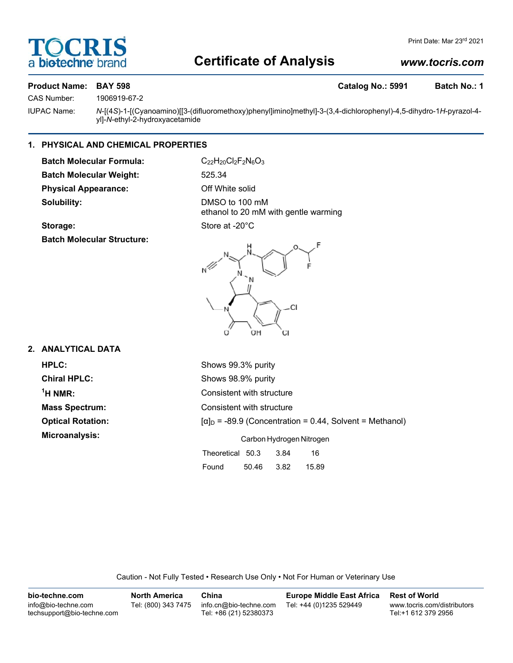# **DCRI** biotechne

# **Certificate of Analysis**

# *www.tocris.com*

## **Product Name: BAY 598 Catalog No.: 5991 Batch No.: 1**

CAS Number: 1906919-67-2

IUPAC Name: *N*-[(4*S*)-1-[(Cyanoamino)[[3-(difluoromethoxy)phenyl]imino]methyl]-3-(3,4-dichlorophenyl)-4,5-dihydro-1*H*-pyrazol-4 yl]-*N*-ethyl-2-hydroxyacetamide

# **1. PHYSICAL AND CHEMICAL PROPERTIES**

**Batch Molecular Formula:** C<sub>22</sub>H<sub>20</sub>Cl<sub>2</sub>F<sub>2</sub>N<sub>6</sub>O<sub>3</sub> **Batch Molecular Weight:** 525.34 **Physical Appearance:** Off White solid **Solubility:** DMSO to 100 mM

ethanol to 20 mM with gentle warming

# Storage: Store at -20°C

**Batch Molecular Structure:**



# **2. ANALYTICAL DATA**

| <b>HPLC:</b>             | Shows 99.3% purity                                              |  |  |  |  |
|--------------------------|-----------------------------------------------------------------|--|--|--|--|
| <b>Chiral HPLC:</b>      | Shows 98.9% purity                                              |  |  |  |  |
| $\rm ^1$ H NMR:          | Consistent with structure                                       |  |  |  |  |
| <b>Mass Spectrum:</b>    | Consistent with structure                                       |  |  |  |  |
| <b>Optical Rotation:</b> | $[\alpha]_D$ = -89.9 (Concentration = 0.44, Solvent = Methanol) |  |  |  |  |
| Microanalysis:           | Carbon Hydrogen Nitrogen                                        |  |  |  |  |
|                          | Theoretical 50.3<br>16<br>3.84                                  |  |  |  |  |
|                          | 3.82<br>Found<br>50.46<br>15.89                                 |  |  |  |  |

Caution - Not Fully Tested • Research Use Only • Not For Human or Veterinary Use

| bio-techne.com                                    | North America       | China                                            | <b>Europe Middle East Africa</b> | <b>Rest of World</b>                               |
|---------------------------------------------------|---------------------|--------------------------------------------------|----------------------------------|----------------------------------------------------|
| info@bio-techne.com<br>techsupport@bio-techne.com | Tel: (800) 343 7475 | info.cn@bio-techne.com<br>Tel: +86 (21) 52380373 | Tel: +44 (0)1235 529449          | www.tocris.com/distributors<br>Tel:+1 612 379 2956 |